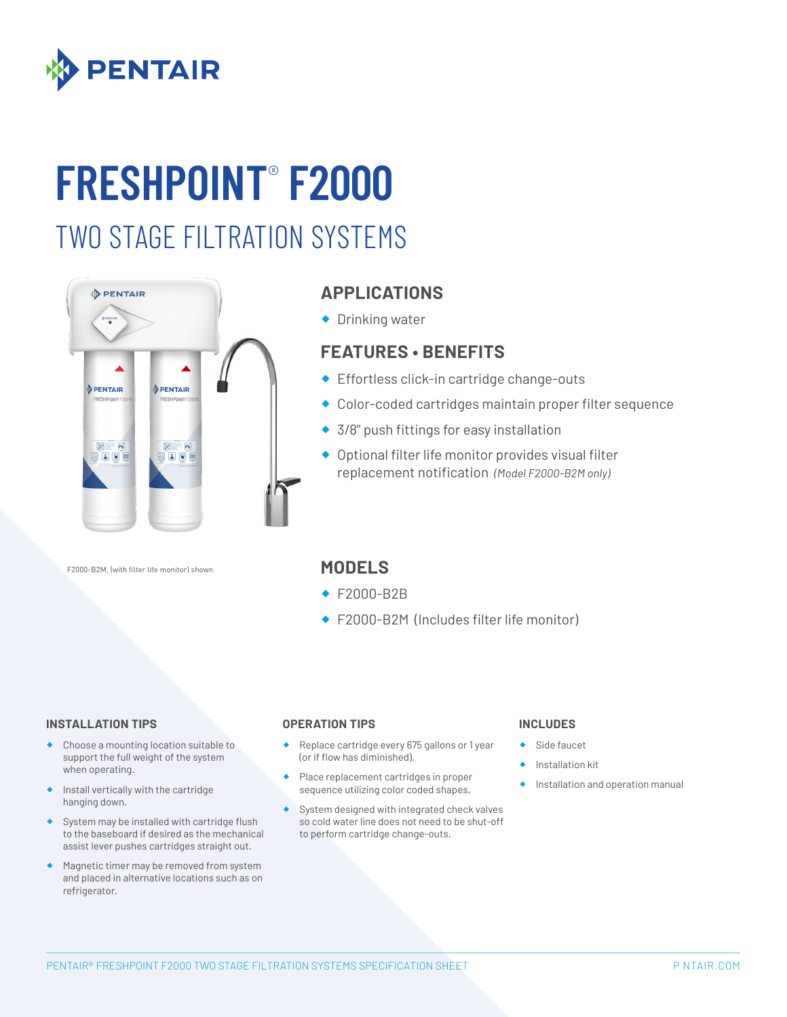

# **FRESHPOINT**®  **F2000**

## TWO STAGE FILTRATION SYSTEMS



### **APPLICATIONS**

◆ Drinking water

### **FEATURES • BENEFITS**

- ◆ Effortless click-in cartridge change-outs
- ® Color-coded cartridges maintain proper filter sequence
- ◆ 3/8" push fittings for easy installation
- ® Optional filter life monitor provides visual filter replacement notification *(Model F2000-B2M only)*

F2000-B2M, (with filter life monitor) shown

### **MODELS**

- ® F2000-B2B
- ® F2000-B2M (Includes filter life monitor)

#### **INSTALLATION TIPS OPERATION TIPS INCLUDES**

- Choose a mounting location suitable to support the full weight of the system when operating.
- Install vertically with the cartridge hanging down.
- ® System may be installed with cartridge flush to the baseboard if desired as the mechanical assist lever pushes cartridges straight out.
- Magnetic timer may be removed from system and placed in alternative locations such as on refrigerator.

- Replace cartridge every 675 gallons or 1 year (or if flow has diminished).
- Place replacement cartridges in proper sequence utilizing color coded shapes.
- System designed with integrated check valves so cold water line does not need to be shut-off to perform cartridge change-outs.

- Side faucet
- ® Installation kit
- Installation and operation manual